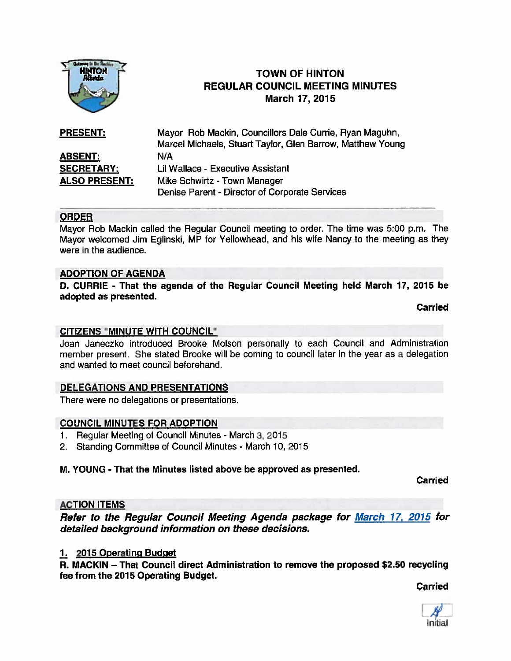

# **TOWN OF HINTON** REGULAR COUNCIL MEETING MINUTES March 17, 2015

| <b>PRESENT:</b>      | Mayor Rob Mackin, Councillors Dale Currie, Ryan Maguhn,<br>Marcel Michaels, Stuart Taylor, Glen Barrow, Matthew Young |
|----------------------|-----------------------------------------------------------------------------------------------------------------------|
| <b>ABSENT:</b>       | N/A                                                                                                                   |
| <b>SECRETARY:</b>    | Lil Wallace - Executive Assistant                                                                                     |
| <b>ALSO PRESENT:</b> | Mike Schwirtz - Town Manager                                                                                          |
|                      | Denise Parent - Director of Corporate Services                                                                        |

### ORDER

Mayor Rob Mackin called the Regular Council meeting to order. The time was 5:00 p.m. The Mayor welcomed Jim Eglinski, MP for Yellowhead, and his wife Nancy to the meeting as they were in the audience.

### ADOPTION OF AGENDA

D. CURRIE - That the agenda of the Regular Council Meeting held March 17, 2015 be adopted as presented.

Carried

### CITIZENS "MINUTE WITH COUNCIL"

Joan Janeczko introduced Brooke Molson personally to each Council and Administration member present. She stated Brooke will be coming to council later in the year as <sup>a</sup> delegation and wanted to meet council beforehand,

### DELEGATIONS AND PRESENTATIONS

There were no delegations or presentations.

### COUNCIL MINUTES FOR ADOPTION

- 1. Regular Meeting of Council Minutes March 3, 2015
- 2. Standing Committee of Council Minutes March 10, 2015

### M. YOUNG - That the Minutes listed above be approved as presented.

Carried

### ACTION ITEMS

Refer to the Regular Council Meeting Agenda package for March 17, 2015 for detailed background information on these decisions.

### 1. 2015 Operating Budget

R. MACKIN — That Council direct Administration to remove the proposed \$2.50 recycling fee from the 2015 Operating Budget.

Carried

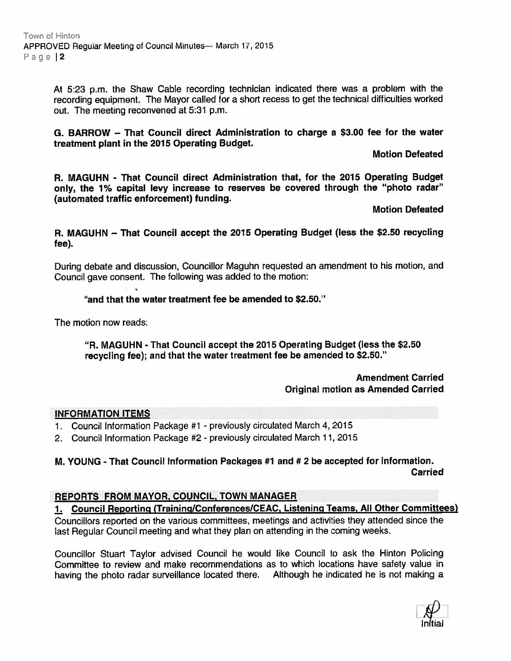At 5:23 p.m. the Shaw Cable recording technician indicated there was <sup>a</sup> problem with the recording equipment. The Mayor called for <sup>a</sup> short recess to ge<sup>t</sup> the technical difficulties worked out. The meeting reconvened at 5:31 p.m.

G. BARROW — That Council direct Administration to charge <sup>a</sup> \$3.00 fee for the water treatment <sup>p</sup>lant in the 2015 Operating Budget.

#### Motion Defeated

P. MAGUHN - That Council direct Administration that, for the 2015 Operating Budget only, the 1% capital levy increase to reserves be covered through the "photo radar" (automated traffic enforcement) funding.

### Motion Defeated

R. MAGUHN — That Council accep<sup>t</sup> the 2015 Operating Budget (less the \$2.50 recycling fee).

During debate and discussion, Councillor Maguhn requested an amendment to his motion, and Council gave consent. The following was added to the motion:

### "and that the water treatment fee be amended to \$2.50."

The motion now reads:

"R. MAGUHN - That Council accep<sup>t</sup> the 2015 Operating Budget (less the \$2.50 recycling fee); and that the water treatment fee be amended to \$2.50."

#### Amendment Carried Original motion as Amended Carried

#### INFORMATION ITEMS

- 1. Council Information Package #1 previously circulated March 4, 2015
- 2. Council Information Package #2- previously circulated March 11, 2015

## M. YOUNG - That Council Information Packages #1 and # 2 be accepted for information. Carried

### REPORTS FROM MAYOR, COUNCIL, TOWN MANAGER

1. Council Reporting (Training/Conferences/CEAC, Listening Teams, All Other Committees) Councillors reported on the various committees, meetings and activities they attended since the

last Regular Council meeting and what they <sup>p</sup>lan on attending in the coming weeks.

Councillor Stuart Taylor advised Council he would like Council to ask the Hinton Policing Committee to review and make recommendations as to which locations have safety value in having the <sup>p</sup>hoto radar surveillance located there. Although he indicated he is not making <sup>a</sup>

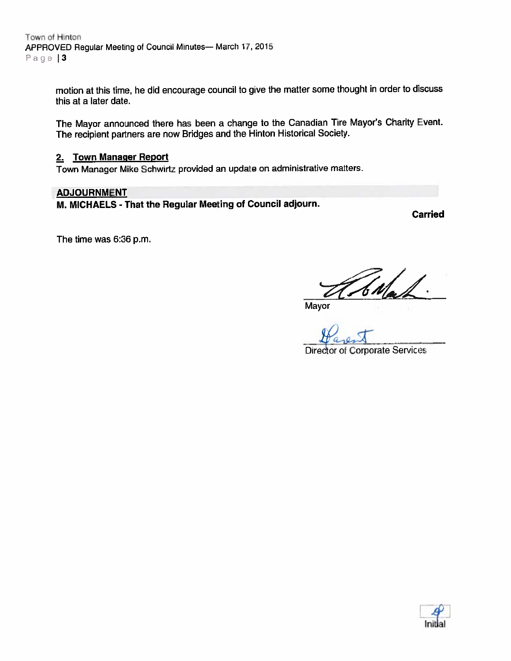Town of Hinton APPROVED Regular Meeting of Council Minutes— March 17,2015 Page |3

> motion at this time, he did encourage council to <sup>g</sup>ive the matter some thought in order to discuss this at <sup>a</sup> later date.

> The Mayor announced there has been <sup>a</sup> change to the Canadian Tire Mayor's Charity Event. The recipient partners are now Bridges and the Hinton Historical Society.

#### 2. Town Manager Report

Town Manager Mike Schwirtz provided an update on administrative matters.

#### ADJOURNMENT

M. MICHAELS - That the Regular Meeting of Council adjourn.

Carried

The time was 6:36 p.m.

Mayor

Director of Corporate Services